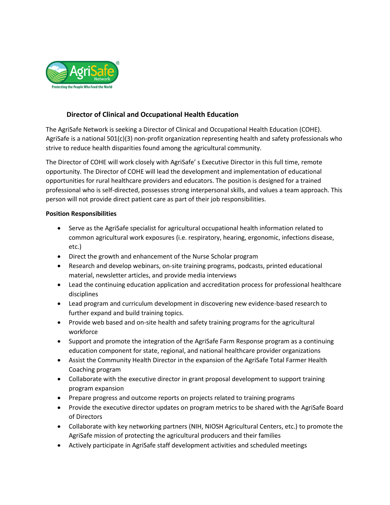

# **Director of Clinical and Occupational Health Education**

The AgriSafe Network is seeking a Director of Clinical and Occupational Health Education (COHE). AgriSafe is a national 501(c)(3) non-profit organization representing health and safety professionals who strive to reduce health disparities found among the agricultural community.

The Director of COHE will work closely with AgriSafe' s Executive Director in this full time, remote opportunity. The Director of COHE will lead the development and implementation of educational opportunities for rural healthcare providers and educators. The position is designed for a trained professional who is self-directed, possesses strong interpersonal skills, and values a team approach. This person will not provide direct patient care as part of their job responsibilities.

### **Position Responsibilities**

- Serve as the AgriSafe specialist for agricultural occupational health information related to common agricultural work exposures (i.e. respiratory, hearing, ergonomic, infections disease, etc.)
- Direct the growth and enhancement of the Nurse Scholar program
- Research and develop webinars, on-site training programs, podcasts, printed educational material, newsletter articles, and provide media interviews
- Lead the continuing education application and accreditation process for professional healthcare disciplines
- Lead program and curriculum development in discovering new evidence-based research to further expand and build training topics.
- Provide web based and on-site health and safety training programs for the agricultural workforce
- Support and promote the integration of the AgriSafe Farm Response program as a continuing education component for state, regional, and national healthcare provider organizations
- Assist the Community Health Director in the expansion of the AgriSafe Total Farmer Health Coaching program
- Collaborate with the executive director in grant proposal development to support training program expansion
- Prepare progress and outcome reports on projects related to training programs
- Provide the executive director updates on program metrics to be shared with the AgriSafe Board of Directors
- Collaborate with key networking partners (NIH, NIOSH Agricultural Centers, etc.) to promote the AgriSafe mission of protecting the agricultural producers and their families
- Actively participate in AgriSafe staff development activities and scheduled meetings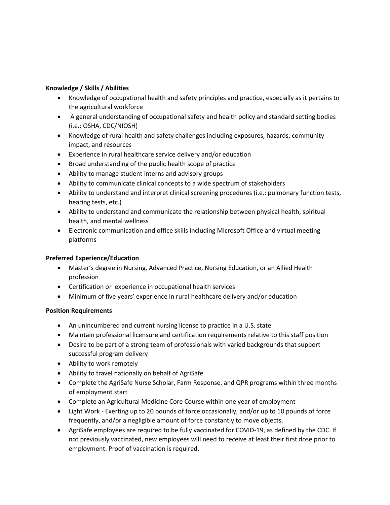### **Knowledge / Skills / Abilities**

- Knowledge of occupational health and safety principles and practice, especially as it pertains to the agricultural workforce
- A general understanding of occupational safety and health policy and standard setting bodies (i.e.: OSHA, CDC/NIOSH)
- Knowledge of rural health and safety challenges including exposures, hazards, community impact, and resources
- Experience in rural healthcare service delivery and/or education
- Broad understanding of the public health scope of practice
- Ability to manage student interns and advisory groups
- Ability to communicate clinical concepts to a wide spectrum of stakeholders
- Ability to understand and interpret clinical screening procedures (i.e.: pulmonary function tests, hearing tests, etc.)
- Ability to understand and communicate the relationship between physical health, spiritual health, and mental wellness
- Electronic communication and office skills including Microsoft Office and virtual meeting platforms

## **Preferred Experience/Education**

- Master's degree in Nursing, Advanced Practice, Nursing Education, or an Allied Health profession
- Certification or experience in occupational health services
- Minimum of five years' experience in rural healthcare delivery and/or education

## **Position Requirements**

- An unincumbered and current nursing license to practice in a U.S. state
- Maintain professional licensure and certification requirements relative to this staff position
- Desire to be part of a strong team of professionals with varied backgrounds that support successful program delivery
- Ability to work remotely
- Ability to travel nationally on behalf of AgriSafe
- Complete the AgriSafe Nurse Scholar, Farm Response, and QPR programs within three months of employment start
- Complete an Agricultural Medicine Core Course within one year of employment
- Light Work Exerting up to 20 pounds of force occasionally, and/or up to 10 pounds of force frequently, and/or a negligible amount of force constantly to move objects.
- AgriSafe employees are required to be fully vaccinated for COVID-19, as defined by the CDC. If not previously vaccinated, new employees will need to receive at least their first dose prior to employment. Proof of vaccination is required.